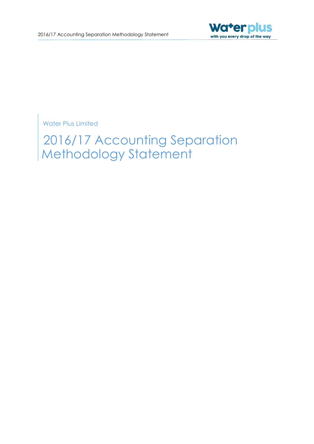

Water Plus Limited

2016/17 Accounting Separation Methodology Statement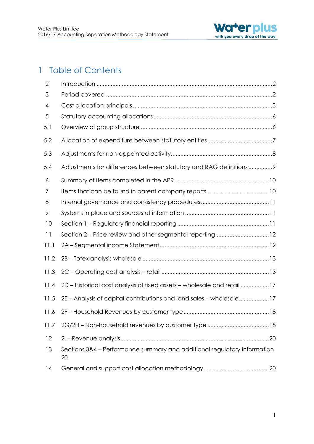

# 1 Table of Contents

| $\overline{2}$ |                                                                                |
|----------------|--------------------------------------------------------------------------------|
| 3              |                                                                                |
| 4              |                                                                                |
| 5              |                                                                                |
| 5.1            |                                                                                |
| 5.2            |                                                                                |
| 5.3            |                                                                                |
| 5.4            | Adjustments for differences between statutory and RAG definitions9             |
| 6              |                                                                                |
| 7              |                                                                                |
| 8              |                                                                                |
| 9              |                                                                                |
| 10             |                                                                                |
| 11             | Section 2 - Price review and other segmental reporting12                       |
| 11.1           |                                                                                |
| 11.2           |                                                                                |
| 11.3           |                                                                                |
| 11.4           | 2D - Historical cost analysis of fixed assets - wholesale and retail 17        |
| 11.5           | 2E - Analysis of capital contributions and land sales - wholesale17            |
| 11.6           |                                                                                |
| 11.7           |                                                                                |
| 12             |                                                                                |
| 13             | Sections 3&4 - Performance summary and additional regulatory information<br>20 |
| 14             |                                                                                |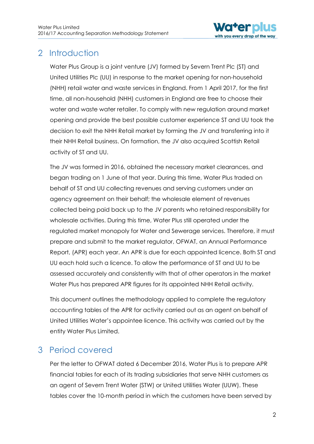

# <span id="page-2-0"></span>2 Introduction

Water Plus Group is a joint venture (JV) formed by Severn Trent Plc (ST) and United Utilities Plc (UU) in response to the market opening for non-household (NHH) retail water and waste services in England. From 1 April 2017, for the first time, all non-household (NHH) customers in England are free to choose their water and waste water retailer. To comply with new regulation around market opening and provide the best possible customer experience ST and UU took the decision to exit the NHH Retail market by forming the JV and transferring into it their NHH Retail business. On formation, the JV also acquired Scottish Retail activity of ST and UU.

The JV was formed in 2016, obtained the necessary market clearances, and began trading on 1 June of that year. During this time, Water Plus traded on behalf of ST and UU collecting revenues and serving customers under an agency agreement on their behalf; the wholesale element of revenues collected being paid back up to the JV parents who retained responsibility for wholesale activities. During this time, Water Plus still operated under the regulated market monopoly for Water and Sewerage services. Therefore, it must prepare and submit to the market regulator, OFWAT, an Annual Performance Report, (APR) each year. An APR is due for each appointed licence. Both ST and UU each hold such a licence. To allow the performance of ST and UU to be assessed accurately and consistently with that of other operators in the market Water Plus has prepared APR figures for its appointed NHH Retail activity.

This document outlines the methodology applied to complete the regulatory accounting tables of the APR for activity carried out as an agent on behalf of United Utilities Water's appointee licence. This activity was carried out by the entity Water Plus Limited.

# <span id="page-2-1"></span>3 Period covered

Per the letter to OFWAT dated 6 December 2016, Water Plus is to prepare APR financial tables for each of its trading subsidiaries that serve NHH customers as an agent of Severn Trent Water (STW) or United Utilities Water (UUW). These tables cover the 10-month period in which the customers have been served by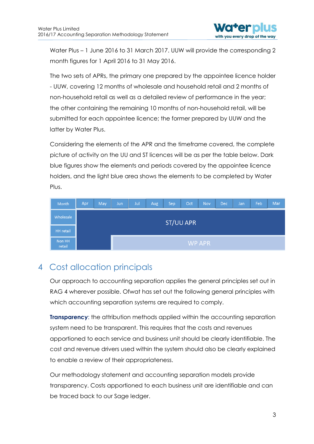Water Plus – 1 June 2016 to 31 March 2017. UUW will provide the corresponding 2 month figures for 1 April 2016 to 31 May 2016.

The two sets of APRs, the primary one prepared by the appointee licence holder - UUW, covering 12 months of wholesale and household retail and 2 months of non-household retail as well as a detailed review of performance in the year; the other containing the remaining 10 months of non-household retail, will be submitted for each appointee licence; the former prepared by UUW and the latter by Water Plus.

Considering the elements of the APR and the timeframe covered, the complete picture of activity on the UU and ST licences will be as per the table below. Dark blue figures show the elements and periods covered by the appointee licence holders, and the light blue area shows the elements to be completed by Water Plus.

| Month            | Apr | May | Jun | Jul | Aug | Sep              | Oct | Nov    | Dec | Jan/ | Feb | Mar |
|------------------|-----|-----|-----|-----|-----|------------------|-----|--------|-----|------|-----|-----|
| Wholesale        |     |     |     |     |     | <b>ST/UU APR</b> |     |        |     |      |     |     |
| <b>HH</b> retail |     |     |     |     |     |                  |     |        |     |      |     |     |
| Non HH<br>retail |     |     |     |     |     |                  |     | WP APR |     |      |     |     |

## <span id="page-3-0"></span>4 Cost allocation principals

Our approach to accounting separation applies the general principles set out in RAG 4 wherever possible. Ofwat has set out the following general principles with which accounting separation systems are required to comply.

**Transparency:** the attribution methods applied within the accounting separation system need to be transparent. This requires that the costs and revenues apportioned to each service and business unit should be clearly identifiable. The cost and revenue drivers used within the system should also be clearly explained to enable a review of their appropriateness.

Our methodology statement and accounting separation models provide transparency. Costs apportioned to each business unit are identifiable and can be traced back to our Sage ledger.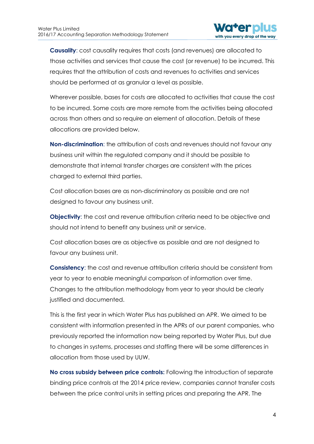

**Causality**: cost causality requires that costs (and revenues) are allocated to those activities and services that cause the cost (or revenue) to be incurred. This requires that the attribution of costs and revenues to activities and services should be performed at as granular a level as possible.

Wherever possible, bases for costs are allocated to activities that cause the cost to be incurred. Some costs are more remote from the activities being allocated across than others and so require an element of allocation. Details of these allocations are provided below.

**Non-discrimination**: the attribution of costs and revenues should not favour any business unit within the regulated company and it should be possible to demonstrate that internal transfer charges are consistent with the prices charged to external third parties.

Cost allocation bases are as non-discriminatory as possible and are not designed to favour any business unit.

**Objectivity**: the cost and revenue attribution criteria need to be objective and should not intend to benefit any business unit or service.

Cost allocation bases are as objective as possible and are not designed to favour any business unit.

**Consistency**: the cost and revenue attribution criteria should be consistent from year to year to enable meaningful comparison of information over time. Changes to the attribution methodology from year to year should be clearly justified and documented.

This is the first year in which Water Plus has published an APR. We aimed to be consistent with information presented in the APRs of our parent companies, who previously reported the information now being reported by Water Plus, but due to changes in systems, processes and staffing there will be some differences in allocation from those used by UUW.

**No cross subsidy between price controls:** Following the introduction of separate binding price controls at the 2014 price review, companies cannot transfer costs between the price control units in setting prices and preparing the APR. The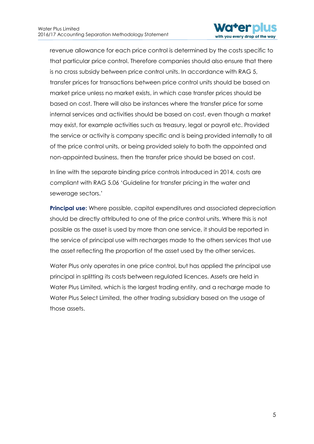

revenue allowance for each price control is determined by the costs specific to that particular price control. Therefore companies should also ensure that there is no cross subsidy between price control units. In accordance with RAG 5, transfer prices for transactions between price control units should be based on market price unless no market exists, in which case transfer prices should be based on cost. There will also be instances where the transfer price for some internal services and activities should be based on cost, even though a market may exist, for example activities such as treasury, legal or payroll etc. Provided the service or activity is company specific and is being provided internally to all of the price control units, or being provided solely to both the appointed and non-appointed business, then the transfer price should be based on cost.

In line with the separate binding price controls introduced in 2014, costs are compliant with RAG 5.06 'Guideline for transfer pricing in the water and sewerage sectors.'

**Principal use:** Where possible, capital expenditures and associated depreciation should be directly attributed to one of the price control units. Where this is not possible as the asset is used by more than one service, it should be reported in the service of principal use with recharges made to the others services that use the asset reflecting the proportion of the asset used by the other services.

Water Plus only operates in one price control, but has applied the principal use principal in splitting its costs between regulated licences. Assets are held in Water Plus Limited, which is the largest trading entity, and a recharge made to Water Plus Select Limited, the other trading subsidiary based on the usage of those assets.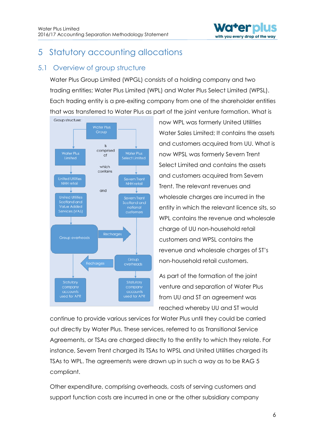

# <span id="page-6-0"></span>5 Statutory accounting allocations

## <span id="page-6-1"></span>5.1 Overview of group structure

Water Plus Group Limited (WPGL) consists of a holding company and two trading entities; Water Plus Limited (WPL) and Water Plus Select Limited (WPSL). Each trading entity is a pre-exiting company from one of the shareholder entities that was transferred to Water Plus as part of the joint venture formation. What is



now WPL was formerly United Utilities Water Sales Limited; It contains the assets and customers acquired from UU. What is now WPSL was formerly Severn Trent Select Limited and contains the assets and customers acquired from Severn Trent. The relevant revenues and wholesale charges are incurred in the entity in which the relevant licence sits, so WPL contains the revenue and wholesale charge of UU non-household retail customers and WPSL contains the revenue and wholesale charges of ST's non-household retail customers.

As part of the formation of the joint venture and separation of Water Plus from UU and ST an agreement was reached whereby UU and ST would

continue to provide various services for Water Plus until they could be carried out directly by Water Plus. These services, referred to as Transitional Service Agreements, or TSAs are charged directly to the entity to which they relate. For instance, Severn Trent charged its TSAs to WPSL and United Utilities charged its TSAs to WPL. The agreements were drawn up in such a way as to be RAG 5 compliant.

Other expenditure, comprising overheads, costs of serving customers and support function costs are incurred in one or the other subsidiary company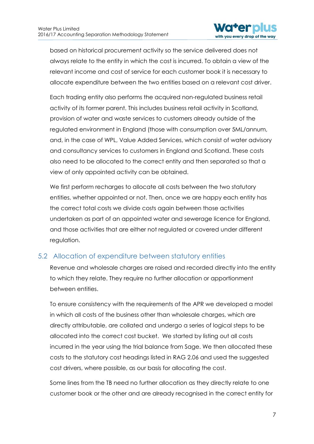

based on historical procurement activity so the service delivered does not always relate to the entity in which the cost is incurred. To obtain a view of the relevant income and cost of service for each customer book it is necessary to allocate expenditure between the two entities based on a relevant cost driver.

Each trading entity also performs the acquired non-regulated business retail activity of its former parent. This includes business retail activity in Scotland, provision of water and waste services to customers already outside of the regulated environment in England (those with consumption over 5ML/annum, and, in the case of WPL, Value Added Services, which consist of water advisory and consultancy services to customers in England and Scotland. These costs also need to be allocated to the correct entity and then separated so that a view of only appointed activity can be obtained.

We first perform recharges to allocate all costs between the two statutory entities, whether appointed or not. Then, once we are happy each entity has the correct total costs we divide costs again between those activities undertaken as part of an appointed water and sewerage licence for England, and those activities that are either not regulated or covered under different regulation.

#### <span id="page-7-0"></span>5.2 Allocation of expenditure between statutory entities

Revenue and wholesale charges are raised and recorded directly into the entity to which they relate. They require no further allocation or apportionment between entities.

To ensure consistency with the requirements of the APR we developed a model in which all costs of the business other than wholesale charges, which are directly attributable, are collated and undergo a series of logical steps to be allocated into the correct cost bucket. We started by listing out all costs incurred in the year using the trial balance from Sage. We then allocated these costs to the statutory cost headings listed in RAG 2.06 and used the suggested cost drivers, where possible, as our basis for allocating the cost.

Some lines from the TB need no further allocation as they directly relate to one customer book or the other and are already recognised in the correct entity for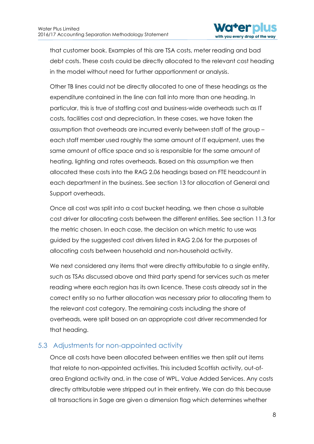

that customer book. Examples of this are TSA costs, meter reading and bad debt costs. These costs could be directly allocated to the relevant cost heading in the model without need for further apportionment or analysis.

Other TB lines could not be directly allocated to one of these headings as the expenditure contained in the line can fall into more than one heading. In particular, this is true of staffing cost and business-wide overheads such as IT costs, facilities cost and depreciation. In these cases, we have taken the assumption that overheads are incurred evenly between staff of the group – each staff member used roughly the same amount of IT equipment, uses the same amount of office space and so is responsible for the same amount of heating, lighting and rates overheads. Based on this assumption we then allocated these costs into the RAG 2.06 headings based on FTE headcount in each department in the business. See section 13 for allocation of General and Support overheads.

Once all cost was split into a cost bucket heading, we then chose a suitable cost driver for allocating costs between the different entities. See section 11.3 for the metric chosen. In each case, the decision on which metric to use was guided by the suggested cost drivers listed in RAG 2.06 for the purposes of allocating costs between household and non-household activity.

We next considered any items that were directly attributable to a single entity, such as TSAs discussed above and third party spend for services such as meter reading where each region has its own licence. These costs already sat in the correct entity so no further allocation was necessary prior to allocating them to the relevant cost category. The remaining costs including the share of overheads, were split based on an appropriate cost driver recommended for that heading.

## <span id="page-8-0"></span>5.3 Adjustments for non-appointed activity

Once all costs have been allocated between entities we then split out items that relate to non-appointed activities. This included Scottish activity, out-ofarea England activity and, in the case of WPL, Value Added Services. Any costs directly attributable were stripped out in their entirety. We can do this because all transactions in Sage are given a dimension flag which determines whether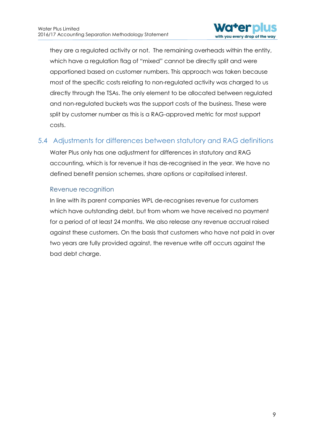

they are a regulated activity or not. The remaining overheads within the entity, which have a regulation flag of "mixed" cannot be directly split and were apportioned based on customer numbers. This approach was taken because most of the specific costs relating to non-regulated activity was charged to us directly through the TSAs. The only element to be allocated between regulated and non-regulated buckets was the support costs of the business. These were split by customer number as this is a RAG-approved metric for most support costs.

## <span id="page-9-0"></span>5.4 Adjustments for differences between statutory and RAG definitions

Water Plus only has one adjustment for differences in statutory and RAG accounting, which is for revenue it has de-recognised in the year. We have no defined benefit pension schemes, share options or capitalised interest.

#### Revenue recognition

In line with its parent companies WPL de-recognises revenue for customers which have outstanding debt, but from whom we have received no payment for a period of at least 24 months. We also release any revenue accrual raised against these customers. On the basis that customers who have not paid in over two years are fully provided against, the revenue write off occurs against the bad debt charge.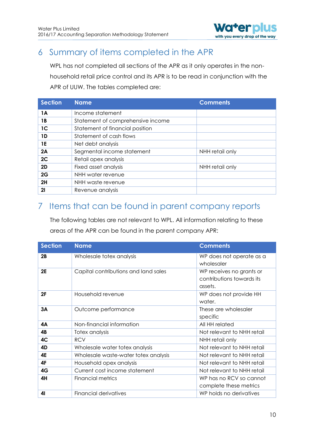

# <span id="page-10-0"></span>6 Summary of items completed in the APR

WPL has not completed all sections of the APR as it only operates in the nonhousehold retail price control and its APR is to be read in conjunction with the APR of UUW. The tables completed are:

| <b>Section</b> | <b>Name</b>                       | <b>Comments</b> |
|----------------|-----------------------------------|-----------------|
| 1A             | Income statement                  |                 |
| 1 B            | Statement of comprehensive income |                 |
| 1 <sup>C</sup> | Statement of financial position   |                 |
| 1D             | Statement of cash flows           |                 |
| 1E             | Net debt analysis                 |                 |
| 2A             | Segmental income statement        | NHH retail only |
| 2C             | Retail opex analysis              |                 |
| 2D             | Fixed asset analysis              | NHH retail only |
| 2G             | NHH water revenue                 |                 |
| 2H             | NHH waste revenue                 |                 |
| 21             | Revenue analysis                  |                 |

## <span id="page-10-1"></span>7 Items that can be found in parent company reports

The following tables are not relevant to WPL. All information relating to these areas of the APR can be found in the parent company APR:

| <b>Section</b> | <b>Name</b>                          | <b>Comments</b>                                                  |
|----------------|--------------------------------------|------------------------------------------------------------------|
| 2B             | Wholesale totex analysis             | WP does not operate as a<br>wholesaler                           |
| <b>2E</b>      | Capital contributions and land sales | WP receives no grants or<br>contributions towards its<br>assets. |
| 2F             | Household revenue                    | WP does not provide HH<br>water.                                 |
| 3A             | Outcome performance                  | These are wholesaler<br>specific                                 |
| 4А             | Non-financial information            | All HH related                                                   |
| 4B             | Totex analysis                       | Not relevant to NHH retail                                       |
| 4C             | <b>RCV</b>                           | NHH retail only                                                  |
| 4D             | Wholesale water totex analysis       | Not relevant to NHH retail                                       |
| 4E             | Wholesale waste-water totex analysis | Not relevant to NHH retail                                       |
| 4F             | Household opex analysis              | Not relevant to NHH retail                                       |
| 4G             | Current cost income statement        | Not relevant to NHH retail                                       |
| 4H             | Financial metrics                    | WP has no RCV so cannot<br>complete these metrics                |
| 41             | Financial derivatives                | WP holds no derivatives                                          |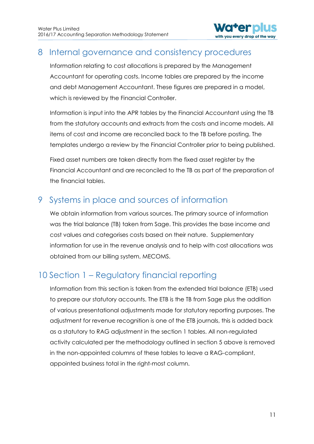

## <span id="page-11-0"></span>8 Internal governance and consistency procedures

Information relating to cost allocations is prepared by the Management Accountant for operating costs. Income tables are prepared by the income and debt Management Accountant. These figures are prepared in a model, which is reviewed by the Financial Controller.

Information is input into the APR tables by the Financial Accountant using the TB from the statutory accounts and extracts from the costs and income models. All items of cost and income are reconciled back to the TB before posting. The templates undergo a review by the Financial Controller prior to being published.

Fixed asset numbers are taken directly from the fixed asset register by the Financial Accountant and are reconciled to the TB as part of the preparation of the financial tables.

# <span id="page-11-1"></span>9 Systems in place and sources of information

We obtain information from various sources. The primary source of information was the trial balance (TB) taken from Sage. This provides the base income and cost values and categorises costs based on their nature. Supplementary information for use in the revenue analysis and to help with cost allocations was obtained from our billing system, MECOMS.

# <span id="page-11-2"></span>10 Section 1 – Regulatory financial reporting

Information from this section is taken from the extended trial balance (ETB) used to prepare our statutory accounts. The ETB is the TB from Sage plus the addition of various presentational adjustments made for statutory reporting purposes. The adjustment for revenue recognition is one of the ETB journals, this is added back as a statutory to RAG adjustment in the section 1 tables. All non-regulated activity calculated per the methodology outlined in section 5 above is removed in the non-appointed columns of these tables to leave a RAG-compliant, appointed business total in the right-most column.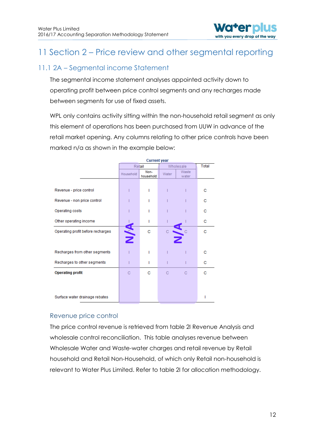

# <span id="page-12-0"></span>11 Section 2 – Price review and other segmental reporting

## <span id="page-12-1"></span>11.1 2A – Segmental income Statement

The segmental income statement analyses appointed activity down to operating profit between price control segments and any recharges made between segments for use of fixed assets.

WPL only contains activity sitting within the non-household retail segment as only this element of operations has been purchased from UUW in advance of the retail market opening. Any columns relating to other price controls have been marked n/a as shown in the example below:

|                                   | <b>Current year</b> |                   |           |                |       |
|-----------------------------------|---------------------|-------------------|-----------|----------------|-------|
|                                   | Retail              |                   | Wholesale |                | Total |
|                                   | Household           | Non-<br>household | Water     | Waste<br>water |       |
|                                   |                     |                   |           |                |       |
| Revenue - price control           |                     |                   |           |                | с     |
| Revenue - non price control       |                     |                   |           |                | с     |
| Operating costs                   |                     |                   |           |                | с     |
| Other operating income            |                     |                   |           |                | с     |
| Operating profit before recharges | <b>NYN</b>          | с                 | С         |                | с     |
|                                   |                     |                   |           |                |       |
| Recharges from other segments     |                     |                   |           |                | C     |
| Recharges to other segments       |                     | ı                 |           |                | с     |
| <b>Operating profit</b>           | C                   | с                 | C         | C              | C     |
|                                   |                     |                   |           |                |       |
|                                   |                     |                   |           |                |       |
| Surface water drainage rebates    |                     |                   |           |                |       |

#### Revenue price control

The price control revenue is retrieved from table 2I Revenue Analysis and wholesale control reconciliation. This table analyses revenue between Wholesale Water and Waste-water charges and retail revenue by Retail household and Retail Non-Household, of which only Retail non-household is relevant to Water Plus Limited. Refer to table 2I for allocation methodology.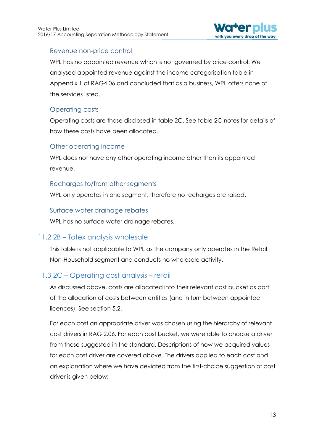

#### Revenue non-price control

WPL has no appointed revenue which is not governed by price control. We analysed appointed revenue against the income categorisation table in Appendix 1 of RAG4.06 and concluded that as a business, WPL offers none of the services listed.

#### Operating costs

Operating costs are those disclosed in table 2C. See table 2C notes for details of how these costs have been allocated.

#### Other operating income

WPL does not have any other operating income other than its appointed revenue.

#### Recharges to/from other segments

WPL only operates in one segment, therefore no recharges are raised.

#### Surface water drainage rebates

WPL has no surface water drainage rebates.

#### <span id="page-13-0"></span>11.2 2B – Totex analysis wholesale

This table is not applicable to WPL as the company only operates in the Retail Non-Household segment and conducts no wholesale activity.

#### <span id="page-13-1"></span>11.3 2C – Operating cost analysis – retail

As discussed above, costs are allocated into their relevant cost bucket as part of the allocation of costs between entities (and in turn between appointee licences). See section 5.2.

For each cost an appropriate driver was chosen using the hierarchy of relevant cost drivers in RAG 2.06. For each cost bucket, we were able to choose a driver from those suggested in the standard. Descriptions of how we acquired values for each cost driver are covered above. The drivers applied to each cost and an explanation where we have deviated from the first-choice suggestion of cost driver is given below: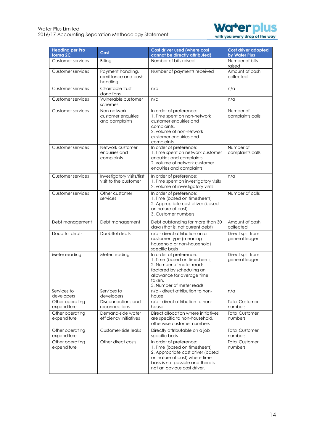

| <b>Heading per Pro</b><br>forma <sub>2C</sub> | Cost                                                 | Cost driver used (where cost<br>cannot be directly attributed)                                                                                                                                      | <b>Cost driver adopted</b><br>by Water Plus |
|-----------------------------------------------|------------------------------------------------------|-----------------------------------------------------------------------------------------------------------------------------------------------------------------------------------------------------|---------------------------------------------|
| Customer services                             | Billing                                              | Number of bills raised                                                                                                                                                                              | Number of bills<br>raised                   |
| <b>Customer services</b>                      | Payment handling,<br>remittance and cash<br>handling | Number of payments received                                                                                                                                                                         | Amount of cash<br>collected                 |
| <b>Customer services</b>                      | Charitable trust<br>donations                        | n/a                                                                                                                                                                                                 | n/a                                         |
| <b>Customer services</b>                      | Vulnerable customer<br>schemes                       | n/a                                                                                                                                                                                                 | n/a                                         |
| Customer services                             | Non-network<br>customer enquiries<br>and complaints  | In order of preference:<br>1. Time spent on non-network<br>customer enquiries and<br>complaints.<br>2. volume of non-network<br>customer enquiries and<br>complaints                                | Number of<br>complaints calls               |
| <b>Customer services</b>                      | Network customer<br>enquiries and<br>complaints      | In order of preference:<br>1. Time spent on network customer<br>enquiries and complaints.<br>2. volume of network customer<br>enquiries and complaints                                              | Number of<br>complaints calls               |
| <b>Customer services</b>                      | Investigatory visits/first<br>visit to the customer  | In order of preference:<br>1. Time spent on investigatory visits<br>2. volume of investigatory visits                                                                                               | n/a                                         |
| Customer services                             | Other customer<br>services                           | In order of preference:<br>1. Time (based on timesheets)<br>2. Appropriate cost driver (based<br>on nature of cost)<br>3. Customer numbers                                                          | Number of calls                             |
| Debt management                               | Debt management                                      | Debt outstanding for more than 30<br>days (that is, not current debt)                                                                                                                               | Amount of cash<br>collected                 |
| Doubtful debts                                | Doubtful debts                                       | n/a - direct attribution on a<br>customer type (meaning<br>household or non-household)<br>specific basis                                                                                            | Direct split from<br>general ledger         |
| Meter reading                                 | Meter reading                                        | In order of preference:<br>1. Time (based on timesheets)<br>2. Number of meter reads<br>factored by scheduling an<br>allowance for average time<br>taken.<br>3. Number of meter reads               | Direct split from<br>general ledger         |
| Services to<br>developers                     | Services to<br>developers                            | n/a - direct attribution to non-<br>house                                                                                                                                                           | n/a                                         |
| Other operating<br>expenditure                | Disconnections and<br>reconnections                  | n/a - direct attribution to non-<br>house                                                                                                                                                           | <b>Total Customer</b><br>numbers            |
| Other operating<br>expenditure                | Demand-side water<br>efficiency initiatives          | Direct allocation where initiatives<br>are specific to non-household.<br>otherwise customer numbers                                                                                                 | <b>Total Customer</b><br>numbers            |
| Other operating<br>expenditure                | Customer-side leaks                                  | Directly attributable on a job<br>specific basis                                                                                                                                                    | <b>Total Customer</b><br>numbers            |
| Other operating<br>expenditure                | Other direct costs                                   | In order of preference:<br>1. Time (based on timesheets)<br>2. Appropriate cost driver (based<br>on nature of cost) where time<br>basis is not possible and there is<br>not an obvious cost driver. | <b>Total Customer</b><br>numbers            |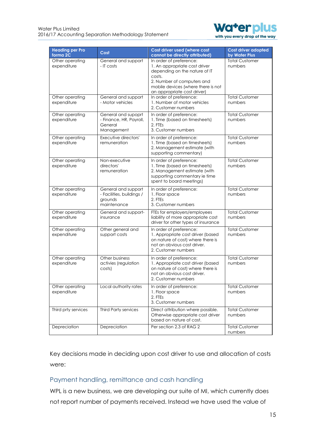

| <b>Heading per Pro</b><br>forma <sub>2C</sub> | Cost                                                                       | Cost driver used (where cost<br>cannot be directly attributed)                                                                                                                                         | Cost driver adopted<br>by Water Plus |
|-----------------------------------------------|----------------------------------------------------------------------------|--------------------------------------------------------------------------------------------------------------------------------------------------------------------------------------------------------|--------------------------------------|
| Other operating<br>expenditure                | General and support<br>- IT costs                                          | In order of preference:<br>1. An appropriate cost driver<br>depending on the nature of IT<br>costs.<br>2. Number of computers and<br>mobile devices (where there is not<br>an appropriate cost driver) | <b>Total Customer</b><br>numbers     |
| Other operating<br>expenditure                | General and support<br>- Motor vehicles                                    | In order of preference:<br>1. Number of motor vehicles<br>2. Customer numbers                                                                                                                          | <b>Total Customer</b><br>numbers     |
| Other operating<br>expenditure                | General and supoprt<br>- Finance, HR, Payroll,<br>General<br>Management    | In order of preference:<br>1. Time (based on timesheets)<br>2. FTEs<br>3. Customer numbers                                                                                                             | <b>Total Customer</b><br>numbers     |
| Other operating<br>expenditure                | Executive directors'<br>remuneration                                       | In order of preference:<br>1. Time (based on timesheets)<br>2. Management estimate (with<br>supporting commentary)                                                                                     | <b>Total Customer</b><br>numbers     |
| Other operating<br>expenditure                | Non-executive<br>directors'<br>remuneration                                | In order of preference:<br>1. Time (based on timesheets)<br>2. Management estimate (with<br>supporting commentary ie time<br>spent to board meetings)                                                  | <b>Total Customer</b><br>numbers     |
| Other operating<br>expenditure                | General and support<br>- Facilities, buildings /<br>grounds<br>maintenance | In order of preference:<br>1. Floor space<br>2. FTEs<br>3. Customer numbers                                                                                                                            | <b>Total Customer</b><br>numbers     |
| Other operating<br>expenditure                | General and support-<br>insurance                                          | FTEs for employers/employees<br>liability of more appropriate cost<br>driver for other types of insurance                                                                                              | <b>Total Customer</b><br>numbers     |
| Other operating<br>expenditure                | Other general and<br>support costs                                         | In order of preference:<br>1. Appropriate cost driver (based<br>on nature of cost) where there is<br>not an obvious cost driver.<br>2. Customer numbers                                                | <b>Total Customer</b><br>numbers     |
| Other operating<br>expenditure                | Other business<br>activies (regulation<br>costs)                           | In order of preference:<br>1. Appropriate cost driver (based<br>on nature of cost) where there is<br>not an obvious cost driver.<br>2. Customer numbers                                                | <b>Total Customer</b><br>numbers     |
| Other operating<br>expenditure                | Local authority rates                                                      | In order of preference:<br>1. Floor space<br>2. FTEs<br>3. Customer numbers                                                                                                                            | <b>Total Customer</b><br>numbers     |
| Third prty services                           | <b>Third Party services</b>                                                | Direct attribution where possible.<br>Otherwise appropriate cost driver<br>based on nature of cost.                                                                                                    | <b>Total Customer</b><br>numbers     |
| Depreciation                                  | Depreciation                                                               | Per section 2.3 of RAG 2                                                                                                                                                                               | <b>Total Customer</b><br>numbers     |

Key decisions made in deciding upon cost driver to use and allocation of costs were:

#### Payment handling, remittance and cash handling

WPL is a new business, we are developing our suite of MI, which currently does not report number of payments received. Instead we have used the value of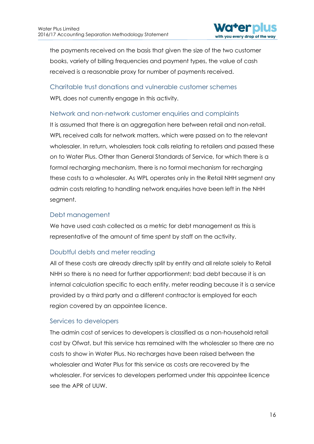

the payments received on the basis that given the size of the two customer books, variety of billing frequencies and payment types, the value of cash received is a reasonable proxy for number of payments received.

Charitable trust donations and vulnerable customer schemes WPL does not currently engage in this activity.

#### Network and non-network customer enquiries and complaints

It is assumed that there is an aggregation here between retail and non-retail. WPL received calls for network matters, which were passed on to the relevant wholesaler. In return, wholesalers took calls relating to retailers and passed these on to Water Plus. Other than General Standards of Service, for which there is a formal recharging mechanism, there is no formal mechanism for recharging these costs to a wholesaler. As WPL operates only in the Retail NHH segment any admin costs relating to handling network enquiries have been left in the NHH segment.

#### Debt management

We have used cash collected as a metric for debt management as this is representative of the amount of time spent by staff on the activity.

#### Doubtful debts and meter reading

All of these costs are already directly split by entity and all relate solely to Retail NHH so there is no need for further apportionment; bad debt because it is an internal calculation specific to each entity, meter reading because it is a service provided by a third party and a different contractor is employed for each region covered by an appointee licence.

#### Services to developers

The admin cost of services to developers is classified as a non-household retail cost by Ofwat, but this service has remained with the wholesaler so there are no costs to show in Water Plus. No recharges have been raised between the wholesaler and Water Plus for this service as costs are recovered by the wholesaler. For services to developers performed under this appointee licence see the APR of UUW.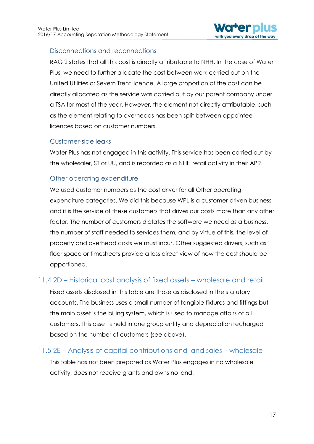

#### Disconnections and reconnections

RAG 2 states that all this cost is directly attributable to NHH. In the case of Water Plus, we need to further allocate the cost between work carried out on the United Utilities or Severn Trent licence. A large proportion of the cost can be directly allocated as the service was carried out by our parent company under a TSA for most of the year. However, the element not directly attributable, such as the element relating to overheads has been split between appointee licences based on customer numbers.

#### Customer-side leaks

Water Plus has not engaged in this activity. This service has been carried out by the wholesaler, ST or UU, and is recorded as a NHH retail activity in their APR.

#### Other operating expenditure

We used customer numbers as the cost driver for all Other operating expenditure categories. We did this because WPL is a customer-driven business and it is the service of these customers that drives our costs more than any other factor. The number of customers dictates the software we need as a business, the number of staff needed to services them, and by virtue of this, the level of property and overhead costs we must incur. Other suggested drivers, such as floor space or timesheets provide a less direct view of how the cost should be apportioned.

## <span id="page-17-0"></span>11.4 2D – Historical cost analysis of fixed assets – wholesale and retail

Fixed assets disclosed in this table are those as disclosed in the statutory accounts. The business uses a small number of tangible fixtures and fittings but the main asset is the billing system, which is used to manage affairs of all customers. This asset is held in one group entity and depreciation recharged based on the number of customers (see above).

## <span id="page-17-1"></span>11.5 2E – Analysis of capital contributions and land sales – wholesale

This table has not been prepared as Water Plus engages in no wholesale activity, does not receive grants and owns no land.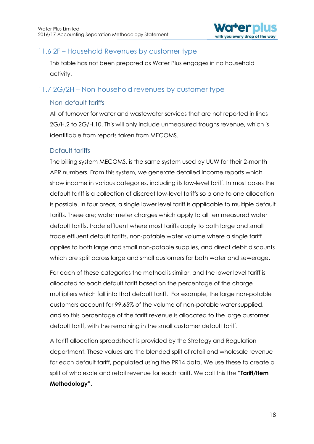

## <span id="page-18-0"></span>11.6 2F – Household Revenues by customer type

This table has not been prepared as Water Plus engages in no household activity.

## <span id="page-18-1"></span>11.7 2G/2H – Non-household revenues by customer type

#### Non-default tariffs

All of turnover for water and wastewater services that are not reported in lines 2G/H.2 to 2G/H.10. This will only include unmeasured troughs revenue, which is identifiable from reports taken from MECOMS.

#### Default tariffs

The billing system MECOMS, is the same system used by UUW for their 2-month APR numbers. From this system, we generate detailed income reports which show income in various categories, including its low-level tariff. In most cases the default tariff is a collection of discreet low-level tariffs so a one to one allocation is possible. In four areas, a single lower level tariff is applicable to multiple default tariffs. These are; water meter charges which apply to all ten measured water default tariffs, trade effluent where most tariffs apply to both large and small trade effluent default tariffs, non-potable water volume where a single tariff applies to both large and small non-potable supplies, and direct debit discounts which are split across large and small customers for both water and sewerage.

For each of these categories the method is similar, and the lower level tariff is allocated to each default tariff based on the percentage of the charge multipliers which fall into that default tariff. For example, the large non-potable customers account for 99.65% of the volume of non-potable water supplied, and so this percentage of the tariff revenue is allocated to the large customer default tariff, with the remaining in the small customer default tariff.

A tariff allocation spreadsheet is provided by the Strategy and Regulation department. These values are the blended split of retail and wholesale revenue for each default tariff, populated using the PR14 data. We use these to create a split of wholesale and retail revenue for each tariff. We call this the **"Tariff/Item Methodology".**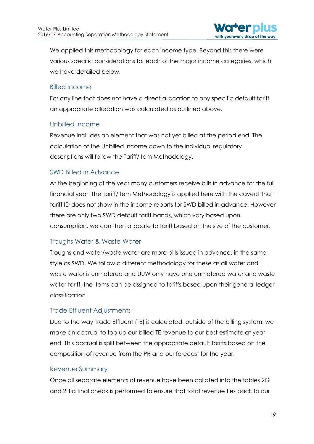

We applied this methodology for each income type. Beyond this there were various specific considerations for each of the major income categories, which we have detailed below.

#### Billed Income

For any line that does not have a direct allocation to any specific default tariff an appropriate allocation was calculated as outlined above.

#### Unbilled Income

Revenue includes an element that was not yet billed at the period end. The calculation of the Unbilled Income down to the individual regulatory descriptions will follow the Tariff/Item Methodology.

#### SWD Billed in Advance

At the beginning of the year many customers receive bills in advance for the full financial year. The Tariff/Item Methodology is applied here with the caveat that tariff ID does not show in the income reports for SWD billed in advance. However there are only two SWD default tariff bands, which vary based upon consumption, we can then allocate to tariff based on the size of the customer.

#### Troughs Water & Waste Water

Troughs and water/waste water are more bills issued in advance, in the same style as SWD. We follow a different methodology for these as all water and waste water is unmetered and UUW only have one unmetered water and waste water tariff, the items can be assigned to tariffs based upon their general ledger classification

#### Trade Effluent Adjustments

Due to the way Trade Effluent (TE) is calculated, outside of the billing system, we make an accrual to top up our billed TE revenue to our best estimate at yearend. This accrual is split between the appropriate default tariffs based on the composition of revenue from the PR and our forecast for the year.

#### Revenue Summary

Once all separate elements of revenue have been collated into the tables 2G and 2H a final check is performed to ensure that total revenue ties back to our